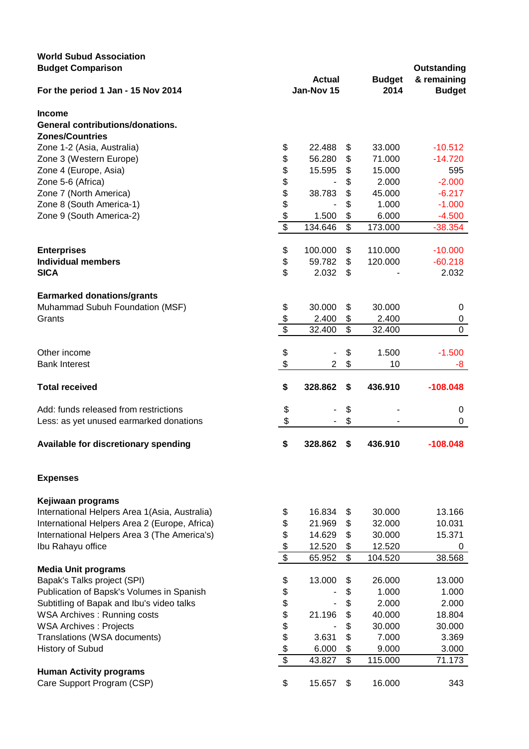| <b>World Subud Association</b><br><b>Budget Comparison</b>        |                          |                             |                           | <b>Budget</b> | Outstanding                  |  |
|-------------------------------------------------------------------|--------------------------|-----------------------------|---------------------------|---------------|------------------------------|--|
| For the period 1 Jan - 15 Nov 2014                                |                          | <b>Actual</b><br>Jan-Nov 15 |                           |               | & remaining<br><b>Budget</b> |  |
| <b>Income</b>                                                     |                          |                             |                           |               |                              |  |
| <b>General contributions/donations.</b><br><b>Zones/Countries</b> |                          |                             |                           |               |                              |  |
| Zone 1-2 (Asia, Australia)                                        | \$                       | 22.488                      | \$                        | 33.000        | $-10.512$                    |  |
| Zone 3 (Western Europe)                                           | \$                       | 56.280                      | \$                        | 71.000        | $-14.720$                    |  |
| Zone 4 (Europe, Asia)                                             | \$                       | 15.595                      | \$                        | 15.000        | 595                          |  |
| Zone 5-6 (Africa)                                                 |                          |                             | \$                        | 2.000         | $-2.000$                     |  |
| Zone 7 (North America)                                            | \$                       | 38.783                      | \$                        | 45.000        | $-6.217$                     |  |
| Zone 8 (South America-1)                                          | \$                       |                             | \$                        | 1.000         | $-1.000$                     |  |
| Zone 9 (South America-2)                                          | $\frac{1}{2}$            | 1.500                       | \$                        | 6.000         | $-4.500$                     |  |
|                                                                   | $\overline{\mathcal{S}}$ | 134.646                     | \$                        | 173.000       | $-38.354$                    |  |
| <b>Enterprises</b>                                                | \$                       | 100.000                     | \$                        | 110.000       | $-10.000$                    |  |
| <b>Individual members</b>                                         | \$                       | 59.782                      | \$                        | 120.000       | $-60.218$                    |  |
| <b>SICA</b>                                                       | \$                       | 2.032                       | $\boldsymbol{\mathsf{S}}$ |               | 2.032                        |  |
| <b>Earmarked donations/grants</b>                                 |                          |                             |                           |               |                              |  |
| Muhammad Subuh Foundation (MSF)                                   | \$                       | 30.000                      | \$                        | 30.000        | 0                            |  |
| Grants                                                            | $\frac{1}{2}$            | 2.400                       | \$                        | 2.400         | 0                            |  |
|                                                                   | $\overline{\$}$          | 32.400                      | $\overline{\mathbf{S}}$   | 32.400        | 0                            |  |
| Other income                                                      | \$                       |                             | \$                        | 1.500         | $-1.500$                     |  |
| <b>Bank Interest</b>                                              | \$                       | $\overline{2}$              | \$                        | 10            | -8                           |  |
| <b>Total received</b>                                             | \$                       | 328.862                     | \$                        | 436.910       | $-108.048$                   |  |
| Add: funds released from restrictions                             | \$                       |                             | \$                        |               | 0                            |  |
| Less: as yet unused earmarked donations                           | \$                       |                             | \$                        |               | 0                            |  |
| Available for discretionary spending                              | \$                       | 328.862                     | \$                        | 436.910       | $-108.048$                   |  |
| <b>Expenses</b>                                                   |                          |                             |                           |               |                              |  |
| Kejiwaan programs                                                 |                          |                             |                           |               |                              |  |
| International Helpers Area 1(Asia, Australia)                     | \$                       | 16.834                      | \$                        | 30.000        | 13.166                       |  |
| International Helpers Area 2 (Europe, Africa)                     | \$                       | 21.969                      | \$                        | 32.000        | 10.031                       |  |
| International Helpers Area 3 (The America's)                      | \$                       | 14.629                      | \$                        | 30.000        | 15.371                       |  |
| Ibu Rahayu office                                                 | $\frac{\$}{\$}$          | 12.520                      | \$                        | 12.520        | 0                            |  |
| <b>Media Unit programs</b>                                        |                          | 65.952                      | \$                        | 104.520       | 38.568                       |  |
| Bapak's Talks project (SPI)                                       | \$                       | 13.000                      | \$                        | 26.000        | 13.000                       |  |
| Publication of Bapsk's Volumes in Spanish                         | \$                       |                             | \$                        | 1.000         | 1.000                        |  |
| Subtitling of Bapak and Ibu's video talks                         |                          |                             | \$                        | 2.000         | 2.000                        |  |
| <b>WSA Archives: Running costs</b>                                |                          | 21.196                      | \$                        | 40.000        | 18.804                       |  |
| <b>WSA Archives: Projects</b>                                     |                          |                             | \$                        | 30.000        | 30.000                       |  |
| Translations (WSA documents)                                      |                          | 3.631                       | \$                        | 7.000         | 3.369                        |  |
| <b>History of Subud</b>                                           |                          | 6.000                       | \$                        | 9.000         | 3.000                        |  |
|                                                                   | \$\$\$\$\$\$             | 43.827                      | \$                        | 115.000       | 71.173                       |  |
| <b>Human Activity programs</b>                                    | \$                       | 15.657                      |                           | 16.000        | 343                          |  |
| Care Support Program (CSP)                                        |                          |                             | $\boldsymbol{\mathsf{S}}$ |               |                              |  |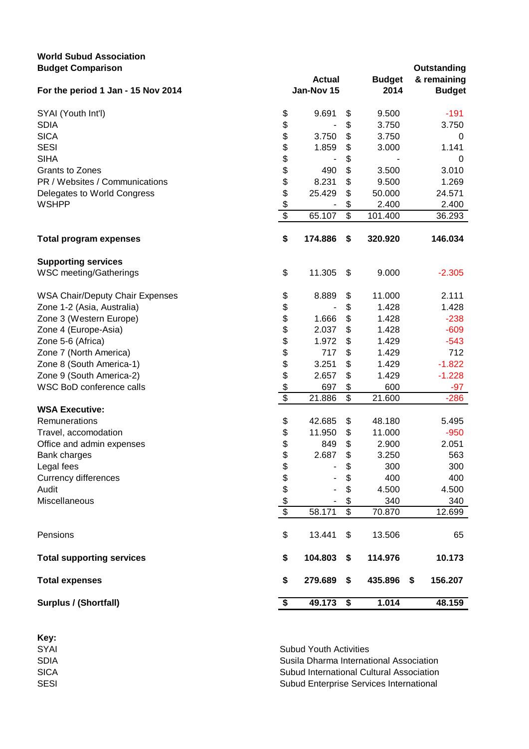## **World Subud Association Budget Comparison Outstanding**

| Duuyut Oompanoon<br><b>Actual</b><br>Jan-Nov 15<br>For the period 1 Jan - 15 Nov 2014 |                 |         | <b>Budget</b><br>2014 | ouwanung<br>& remaining<br><b>Budget</b> |
|---------------------------------------------------------------------------------------|-----------------|---------|-----------------------|------------------------------------------|
| SYAI (Youth Int'l)                                                                    | \$              | 9.691   | \$<br>9.500           | $-191$                                   |
| <b>SDIA</b>                                                                           | \$              |         | \$<br>3.750           | 3.750                                    |
| <b>SICA</b>                                                                           | \$              | 3.750   | \$<br>3.750           | 0                                        |
| <b>SESI</b>                                                                           | \$              | 1.859   | \$<br>3.000           | 1.141                                    |
| <b>SIHA</b>                                                                           | \$              |         | \$                    | 0                                        |
| <b>Grants to Zones</b>                                                                | \$              | 490     | \$<br>3.500           | 3.010                                    |
| PR / Websites / Communications                                                        | \$              | 8.231   | \$<br>9.500           | 1.269                                    |
| Delegates to World Congress                                                           | \$              | 25.429  | \$<br>50.000          | 24.571                                   |
| <b>WSHPP</b>                                                                          |                 |         | \$<br>2.400           | 2.400                                    |
|                                                                                       | $\frac{6}{9}$   | 65.107  | \$<br>101.400         | 36.293                                   |
| <b>Total program expenses</b>                                                         | \$              | 174.886 | \$<br>320.920         | 146.034                                  |
| <b>Supporting services</b>                                                            |                 |         |                       |                                          |
| WSC meeting/Gatherings                                                                | \$              | 11.305  | \$<br>9.000           | $-2.305$                                 |
| <b>WSA Chair/Deputy Chair Expenses</b>                                                | \$              | 8.889   | \$<br>11.000          | 2.111                                    |
| Zone 1-2 (Asia, Australia)                                                            | \$              |         | \$<br>1.428           | 1.428                                    |
| Zone 3 (Western Europe)                                                               | \$              | 1.666   | \$<br>1.428           | $-238$                                   |
| Zone 4 (Europe-Asia)                                                                  | \$              | 2.037   | \$<br>1.428           | $-609$                                   |
| Zone 5-6 (Africa)                                                                     | \$              | 1.972   | \$<br>1.429           | $-543$                                   |
| Zone 7 (North America)                                                                | \$              | 717     | \$<br>1.429           | 712                                      |
| Zone 8 (South America-1)                                                              | \$              | 3.251   | \$<br>1.429           | $-1.822$                                 |
| Zone 9 (South America-2)                                                              | \$              | 2.657   | \$<br>1.429           | $-1.228$                                 |
| WSC BoD conference calls                                                              | $\frac{1}{2}$   | 697     | \$<br>600             | $-97$                                    |
|                                                                                       | $\overline{\$}$ | 21.886  | \$<br>21.600          | $-286$                                   |
| <b>WSA Executive:</b>                                                                 |                 |         |                       |                                          |
| Remunerations                                                                         | \$              | 42.685  | \$<br>48.180          | 5.495                                    |
| Travel, accomodation                                                                  | \$              | 11.950  | \$<br>11.000          | $-950$                                   |
| Office and admin expenses                                                             | \$              | 849     | \$<br>2.900           | 2.051                                    |
| Bank charges                                                                          | \$              | 2.687   | \$<br>3.250           | 563                                      |
| Legal fees                                                                            | \$              |         | \$<br>300             | 300                                      |
| <b>Currency differences</b>                                                           | \$              |         | \$<br>400             | 400                                      |
| Audit                                                                                 | \$              |         | \$<br>4.500           | 4.500                                    |
| Miscellaneous                                                                         | \$              |         | \$<br>340             | 340                                      |
|                                                                                       | \$              | 58.171  | \$<br>70.870          | 12.699                                   |
| Pensions                                                                              | \$              | 13.441  | \$<br>13.506          | 65                                       |
| <b>Total supporting services</b>                                                      | \$              | 104.803 | \$<br>114.976         | 10.173                                   |
| <b>Total expenses</b>                                                                 | \$              | 279.689 | \$<br>435.896         | 156.207<br>\$                            |
| <b>Surplus / (Shortfall)</b>                                                          | \$              | 49.173  | \$<br>1.014           | 48.159                                   |

**Key:**

Subud Youth Activities

SDIA Susila Dharma International Association SICA Subud International Cultural Association SESI SESI Subud Enterprise Services International